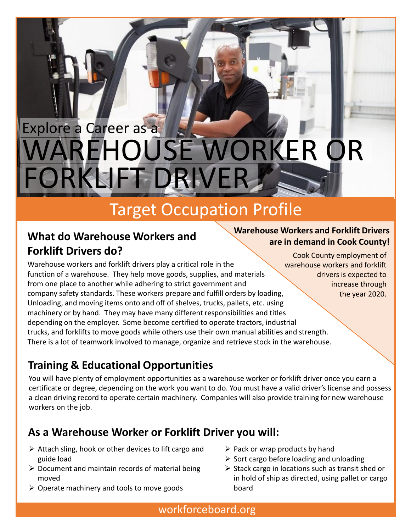# WAREHOUSE WORKER OR Explore a Career as a FORKLIFT DRIVER

## Target Occupation Profile

### **What do Warehouse Workers and Forklift Drivers do?**

#### **Warehouse Workers and Forklift Drivers are in demand in Cook County!**

Cook County employment of

increase through the year 2020.

Warehouse workers and forklift drivers play a critical role in the function of a warehouse. They help move goods, supplies, and materials from one place to another while adhering to strict government and company safety standards. These workers prepare and fulfill orders by loading, Unloading, and moving items onto and off of shelves, trucks, pallets, etc. using machinery or by hand. They may have many different responsibilities and titles depending on the employer. Some become certified to operate tractors, industrial trucks, and forklifts to move goods while others use their own manual abilities and strength. There is a lot of teamwork involved to manage, organize and retrieve stock in the warehouse. warehouse workers and forklift drivers is expected to

### **Training & Educational Opportunities**

You will have plenty of employment opportunities as a warehouse worker or forklift driver once you earn a certificate or degree, depending on the work you want to do. You must have a valid driver's license and possess a clean driving record to operate certain machinery. Companies will also provide training for new warehouse workers on the job.

### **As a Warehouse Worker or Forklift Driver you will:**

- $\triangleright$  Attach sling, hook or other devices to lift cargo and guide load
- $\triangleright$  Document and maintain records of material being moved
- $\triangleright$  Operate machinery and tools to move goods
- $\triangleright$  Pack or wrap products by hand
- $\triangleright$  Sort cargo before loading and unloading
- $\triangleright$  Stack cargo in locations such as transit shed or in hold of ship as directed, using pallet or cargo board